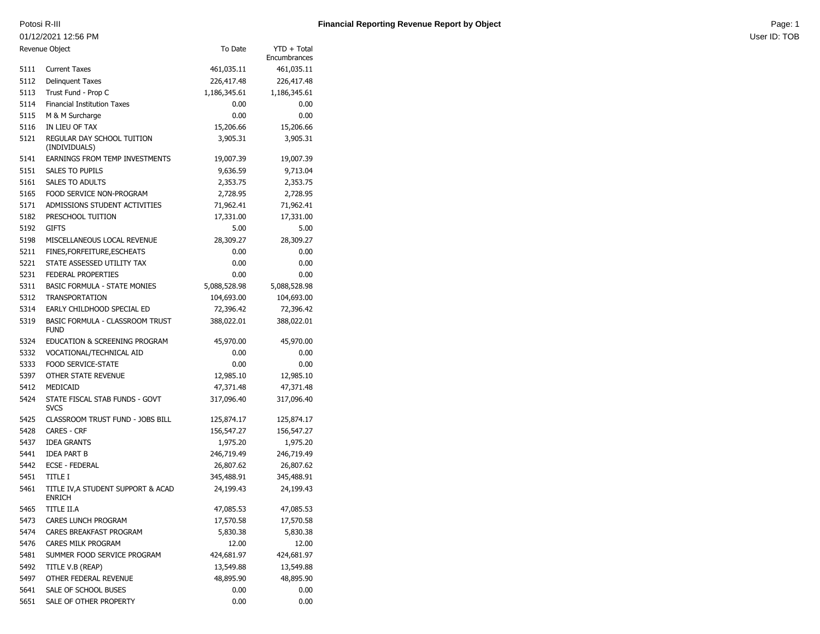## 01/12/2021 12:56 PM

|                | <u>UT/TZ/ZUZT TZ.30 PIVI</u>                          |              |                             |  |
|----------------|-------------------------------------------------------|--------------|-----------------------------|--|
| Revenue Object |                                                       | To Date      | YTD + Total<br>Encumbrances |  |
| 5111           | <b>Current Taxes</b>                                  | 461,035.11   | 461,035.11                  |  |
| 5112           | <b>Delinquent Taxes</b>                               | 226,417.48   | 226,417.48                  |  |
| 5113           | Trust Fund - Prop C                                   | 1,186,345.61 | 1,186,345.61                |  |
| 5114           | <b>Financial Institution Taxes</b>                    | 0.00         | 0.00                        |  |
| 5115           | M & M Surcharge                                       | 0.00         | 0.00                        |  |
| 5116           | IN LIEU OF TAX                                        | 15,206.66    | 15,206.66                   |  |
| 5121           | REGULAR DAY SCHOOL TUITION<br>(INDIVIDUALS)           | 3,905.31     | 3,905.31                    |  |
| 5141           | EARNINGS FROM TEMP INVESTMENTS                        | 19,007.39    | 19,007.39                   |  |
| 5151           | <b>SALES TO PUPILS</b>                                | 9,636.59     | 9,713.04                    |  |
| 5161           | <b>SALES TO ADULTS</b>                                | 2,353.75     | 2,353.75                    |  |
| 5165           | FOOD SERVICE NON-PROGRAM                              | 2,728.95     | 2,728.95                    |  |
| 5171           | ADMISSIONS STUDENT ACTIVITIES                         | 71,962.41    | 71,962.41                   |  |
| 5182           | PRESCHOOL TUITION                                     | 17,331.00    | 17,331.00                   |  |
| 5192           | <b>GIFTS</b>                                          | 5.00         | 5.00                        |  |
| 5198           | MISCELLANEOUS LOCAL REVENUE                           | 28,309.27    | 28,309.27                   |  |
| 5211           | FINES, FORFEITURE, ESCHEATS                           | 0.00         | 0.00                        |  |
| 5221           | STATE ASSESSED UTILITY TAX                            | 0.00         | 0.00                        |  |
| 5231           | FEDERAL PROPERTIES                                    | 0.00         | 0.00                        |  |
| 5311           | <b>BASIC FORMULA - STATE MONIES</b>                   | 5,088,528.98 | 5,088,528.98                |  |
| 5312           | <b>TRANSPORTATION</b>                                 | 104,693.00   | 104,693.00                  |  |
| 5314           | EARLY CHILDHOOD SPECIAL ED                            | 72,396.42    | 72,396.42                   |  |
| 5319           | <b>BASIC FORMULA - CLASSROOM TRUST</b><br><b>FUND</b> | 388,022.01   | 388,022.01                  |  |
| 5324           | EDUCATION & SCREENING PROGRAM                         | 45,970.00    | 45,970.00                   |  |
| 5332           | VOCATIONAL/TECHNICAL AID                              | 0.00         | 0.00                        |  |
| 5333           | <b>FOOD SERVICE-STATE</b>                             | 0.00         | 0.00                        |  |
| 5397           | OTHER STATE REVENUE                                   | 12,985.10    | 12,985.10                   |  |
| 5412           | MEDICAID                                              | 47,371.48    | 47,371.48                   |  |
| 5424           | STATE FISCAL STAB FUNDS - GOVT<br><b>SVCS</b>         | 317,096.40   | 317,096.40                  |  |
| 5425           | CLASSROOM TRUST FUND - JOBS BILL                      | 125,874.17   | 125,874.17                  |  |
| 5428           | <b>CARES - CRF</b>                                    | 156,547.27   | 156,547.27                  |  |
| 5437           | <b>IDEA GRANTS</b>                                    | 1,975.20     | 1,975.20                    |  |
| 5441           | <b>IDEA PART B</b>                                    | 246,719.49   | 246,719.49                  |  |
| 5442           | <b>ECSE - FEDERAL</b>                                 | 26,807.62    | 26,807.62                   |  |
| 5451           | <b>TITLE I</b>                                        | 345,488.91   | 345,488.91                  |  |
| 5461           | TITLE IV, A STUDENT SUPPORT & ACAD<br>ENRICH          | 24,199.43    | 24,199.43                   |  |
| 5465           | TITLE II.A                                            | 47,085.53    | 47,085.53                   |  |
| 5473           | CARES LUNCH PROGRAM                                   | 17,570.58    | 17,570.58                   |  |
| 5474           | CARES BREAKFAST PROGRAM                               | 5,830.38     | 5,830.38                    |  |
| 5476           | CARES MILK PROGRAM                                    | 12.00        | 12.00                       |  |
| 5481           | SUMMER FOOD SERVICE PROGRAM                           | 424,681.97   | 424,681.97                  |  |
| 5492           | TITLE V.B (REAP)                                      | 13,549.88    | 13,549.88                   |  |
| 5497           | OTHER FEDERAL REVENUE                                 | 48,895.90    | 48,895.90                   |  |
| 5641           | SALE OF SCHOOL BUSES                                  | 0.00         | 0.00                        |  |
| 5651           | SALE OF OTHER PROPERTY                                | 0.00         | 0.00                        |  |